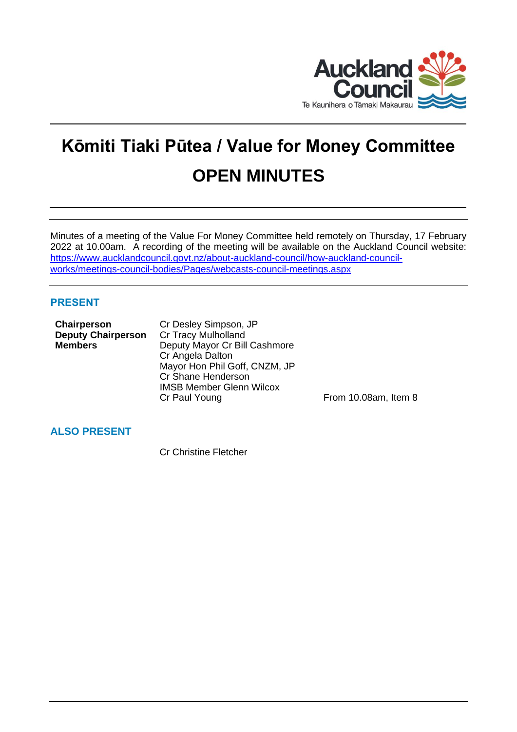

# **Kōmiti Tiaki Pūtea / Value for Money Committee OPEN MINUTES**

Minutes of a meeting of the Value For Money Committee held remotely on Thursday, 17 February 2022 at 10.00am. A recording of the meeting will be available on the Auckland Council website: [https://www.aucklandcouncil.govt.nz/about-auckland-council/how-auckland-council](https://www.aucklandcouncil.govt.nz/about-auckland-council/how-auckland-council-works/meetings-council-bodies/Pages/webcasts-council-meetings.aspx)[works/meetings-council-bodies/Pages/webcasts-council-meetings.aspx](https://www.aucklandcouncil.govt.nz/about-auckland-council/how-auckland-council-works/meetings-council-bodies/Pages/webcasts-council-meetings.aspx)

## **PRESENT**

| Chairperson               | Cr Desley Simpson, JP           |                      |
|---------------------------|---------------------------------|----------------------|
| <b>Deputy Chairperson</b> | <b>Cr Tracy Mulholland</b>      |                      |
| <b>Members</b>            | Deputy Mayor Cr Bill Cashmore   |                      |
|                           | Cr Angela Dalton                |                      |
|                           | Mayor Hon Phil Goff, CNZM, JP   |                      |
|                           | Cr Shane Henderson              |                      |
|                           | <b>IMSB Member Glenn Wilcox</b> |                      |
|                           | Cr Paul Young                   | From 10.08am, Item 8 |
|                           |                                 |                      |

## **ALSO PRESENT**

Cr Christine Fletcher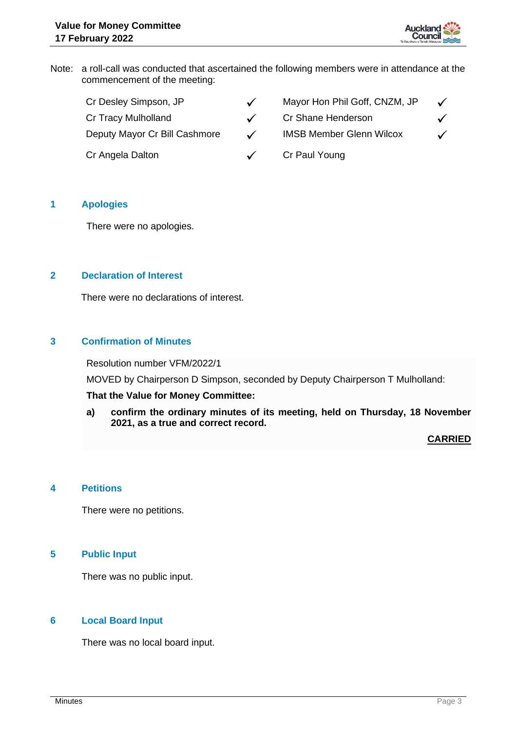

Note: a roll-call was conducted that ascertained the following members were in attendance at the commencement of the meeting:

| Cr Desley Simpson, JP         | $\checkmark$ | Mayor Hon Phil Goff, CNZM, JP   | $\checkmark$ |
|-------------------------------|--------------|---------------------------------|--------------|
| Cr Tracy Mulholland           |              | Cr Shane Henderson              |              |
| Deputy Mayor Cr Bill Cashmore | $\checkmark$ | <b>IMSB Member Glenn Wilcox</b> | $\checkmark$ |
| Cr Angela Dalton              |              | Cr Paul Young                   |              |

## **1 Apologies**

There were no apologies.

## **2 Declaration of Interest**

There were no declarations of interest.

## **3 Confirmation of Minutes**

Resolution number VFM/2022/1

MOVED by Chairperson D Simpson, seconded by Deputy Chairperson T Mulholland:

## **That the Value for Money Committee:**

**a) confirm the ordinary minutes of its meeting, held on Thursday, 18 November 2021, as a true and correct record.**

### **CARRIED**

### **4 Petitions**

There were no petitions.

## **5 Public Input**

There was no public input.

## **6 Local Board Input**

There was no local board input.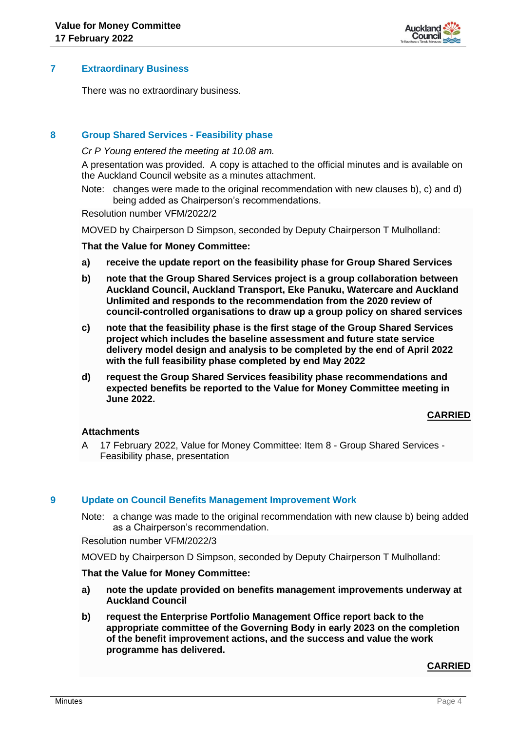

## **7 Extraordinary Business**

There was no extraordinary business.

## **8 Group Shared Services - Feasibility phase**

*Cr P Young entered the meeting at 10.08 am.*

A presentation was provided. A copy is attached to the official minutes and is available on the Auckland Council website as a minutes attachment.

Note: changes were made to the original recommendation with new clauses b), c) and d) being added as Chairperson's recommendations.

Resolution number VFM/2022/2

MOVED by Chairperson D Simpson, seconded by Deputy Chairperson T Mulholland:

#### **That the Value for Money Committee:**

- **a) receive the update report on the feasibility phase for Group Shared Services**
- **b) note that the Group Shared Services project is a group collaboration between Auckland Council, Auckland Transport, Eke Panuku, Watercare and Auckland Unlimited and responds to the recommendation from the 2020 review of council-controlled organisations to draw up a group policy on shared services**
- **c) note that the feasibility phase is the first stage of the Group Shared Services project which includes the baseline assessment and future state service delivery model design and analysis to be completed by the end of April 2022 with the full feasibility phase completed by end May 2022**
- **d) request the Group Shared Services feasibility phase recommendations and expected benefits be reported to the Value for Money Committee meeting in June 2022.**

## **CARRIED**

### **Attachments**

A 17 February 2022, Value for Money Committee: Item 8 - Group Shared Services - Feasibility phase, presentation

### **9 Update on Council Benefits Management Improvement Work**

Note: a change was made to the original recommendation with new clause b) being added as a Chairperson's recommendation.

Resolution number VFM/2022/3

MOVED by Chairperson D Simpson, seconded by Deputy Chairperson T Mulholland:

### **That the Value for Money Committee:**

- **a) note the update provided on benefits management improvements underway at Auckland Council**
- **b) request the Enterprise Portfolio Management Office report back to the appropriate committee of the Governing Body in early 2023 on the completion of the benefit improvement actions, and the success and value the work programme has delivered.**

### **CARRIED**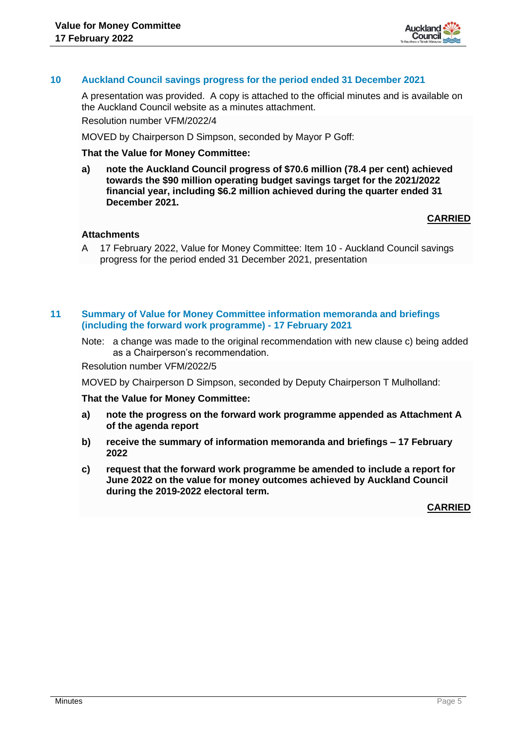

## **10 Auckland Council savings progress for the period ended 31 December 2021**

A presentation was provided. A copy is attached to the official minutes and is available on the Auckland Council website as a minutes attachment. Resolution number VFM/2022/4

MOVED by Chairperson D Simpson, seconded by Mayor P Goff:

#### **That the Value for Money Committee:**

**a) note the Auckland Council progress of \$70.6 million (78.4 per cent) achieved towards the \$90 million operating budget savings target for the 2021/2022 financial year, including \$6.2 million achieved during the quarter ended 31 December 2021.**

## **CARRIED**

## **Attachments**

A 17 February 2022, Value for Money Committee: Item 10 - Auckland Council savings progress for the period ended 31 December 2021, presentation

### **11 Summary of Value for Money Committee information memoranda and briefings (including the forward work programme) - 17 February 2021**

Note: a change was made to the original recommendation with new clause c) being added as a Chairperson's recommendation.

Resolution number VFM/2022/5

MOVED by Chairperson D Simpson, seconded by Deputy Chairperson T Mulholland:

#### **That the Value for Money Committee:**

- **a) note the progress on the forward work programme appended as Attachment A of the agenda report**
- **b) receive the summary of information memoranda and briefings – 17 February 2022**
- **c) request that the forward work programme be amended to include a report for June 2022 on the value for money outcomes achieved by Auckland Council during the 2019-2022 electoral term.**

**CARRIED**